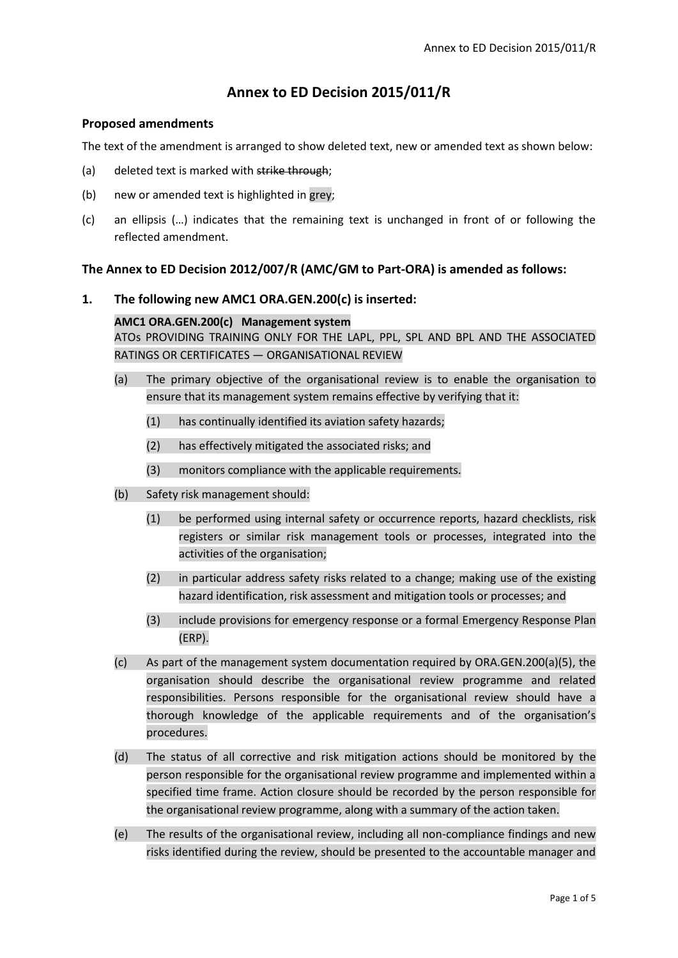# **Annex to ED Decision 2015/011/R**

# **Proposed amendments**

The text of the amendment is arranged to show deleted text, new or amended text as shown below:

- (a) deleted text is marked with strike through;
- (b) new or amended text is highlighted in grey;
- (c) an ellipsis (…) indicates that the remaining text is unchanged in front of or following the reflected amendment.

# **The Annex to ED Decision 2012/007/R (AMC/GM to Part-ORA) is amended as follows:**

# **1. The following new AMC1 ORA.GEN.200(c) is inserted:**

# **AMC1 ORA.GEN.200(c) Management system**

ATOs PROVIDING TRAINING ONLY FOR THE LAPL, PPL, SPL AND BPL AND THE ASSOCIATED RATINGS OR CERTIFICATES — ORGANISATIONAL REVIEW

- (a) The primary objective of the organisational review is to enable the organisation to ensure that its management system remains effective by verifying that it:
	- (1) has continually identified its aviation safety hazards;
	- (2) has effectively mitigated the associated risks; and
	- (3) monitors compliance with the applicable requirements.
- (b) Safety risk management should:
	- (1) be performed using internal safety or occurrence reports, hazard checklists, risk registers or similar risk management tools or processes, integrated into the activities of the organisation;
	- (2) in particular address safety risks related to a change; making use of the existing hazard identification, risk assessment and mitigation tools or processes; and
	- (3) include provisions for emergency response or a formal Emergency Response Plan (ERP).
- (c) As part of the management system documentation required by ORA.GEN.200(a)(5), the organisation should describe the organisational review programme and related responsibilities. Persons responsible for the organisational review should have a thorough knowledge of the applicable requirements and of the organisation's procedures.
- (d) The status of all corrective and risk mitigation actions should be monitored by the person responsible for the organisational review programme and implemented within a specified time frame. Action closure should be recorded by the person responsible for the organisational review programme, along with a summary of the action taken.
- (e) The results of the organisational review, including all non-compliance findings and new risks identified during the review, should be presented to the accountable manager and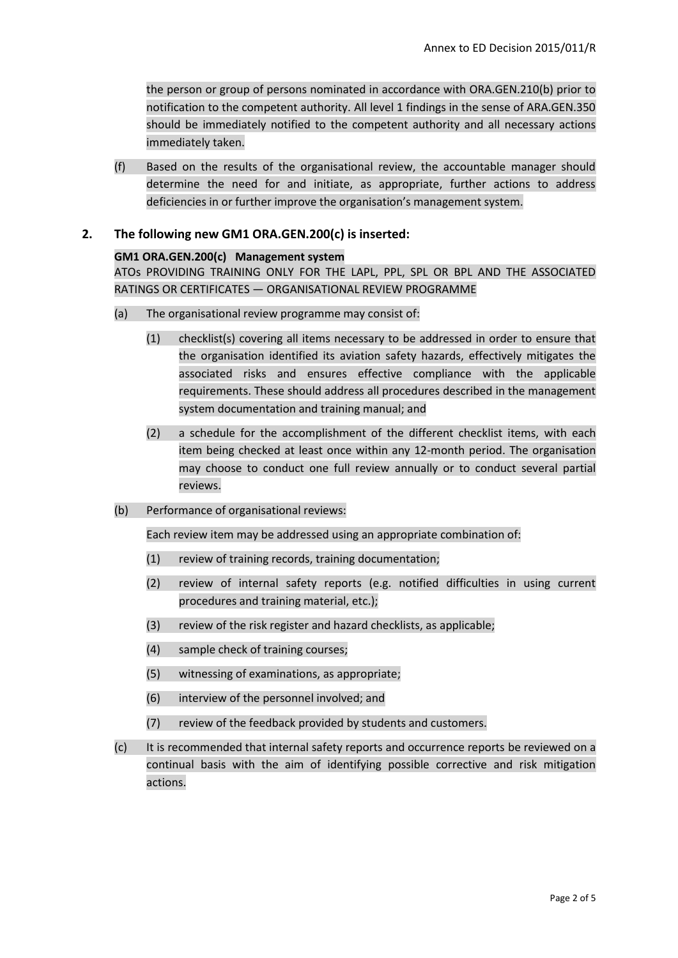the person or group of persons nominated in accordance with ORA.GEN.210(b) prior to notification to the competent authority. All level 1 findings in the sense of ARA.GEN.350 should be immediately notified to the competent authority and all necessary actions immediately taken.

(f) Based on the results of the organisational review, the accountable manager should determine the need for and initiate, as appropriate, further actions to address deficiencies in or further improve the organisation's management system.

# **2. The following new GM1 ORA.GEN.200(c) is inserted:**

#### **GM1 ORA.GEN.200(c) Management system**

ATOs PROVIDING TRAINING ONLY FOR THE LAPL, PPL, SPL OR BPL AND THE ASSOCIATED RATINGS OR CERTIFICATES — ORGANISATIONAL REVIEW PROGRAMME

- (a) The organisational review programme may consist of:
	- (1) checklist(s) covering all items necessary to be addressed in order to ensure that the organisation identified its aviation safety hazards, effectively mitigates the associated risks and ensures effective compliance with the applicable requirements. These should address all procedures described in the management system documentation and training manual; and
	- (2) a schedule for the accomplishment of the different checklist items, with each item being checked at least once within any 12-month period. The organisation may choose to conduct one full review annually or to conduct several partial reviews.
- (b) Performance of organisational reviews:

Each review item may be addressed using an appropriate combination of:

- (1) review of training records, training documentation;
- (2) review of internal safety reports (e.g. notified difficulties in using current procedures and training material, etc.);
- (3) review of the risk register and hazard checklists, as applicable;
- (4) sample check of training courses;
- (5) witnessing of examinations, as appropriate;
- (6) interview of the personnel involved; and
- (7) review of the feedback provided by students and customers.
- (c) It is recommended that internal safety reports and occurrence reports be reviewed on a continual basis with the aim of identifying possible corrective and risk mitigation actions.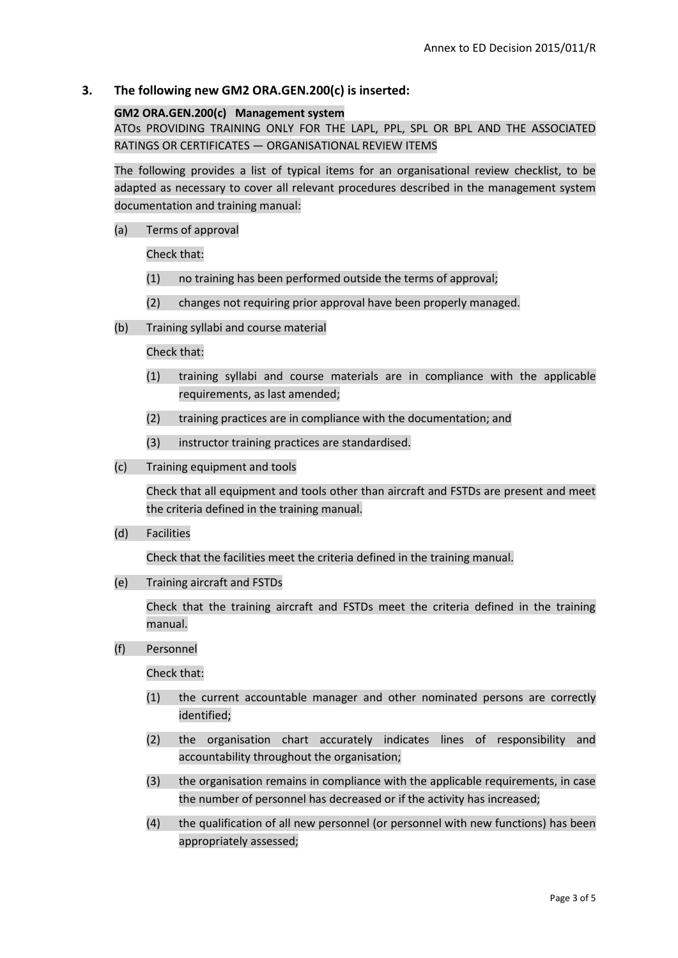# **3. The following new GM2 ORA.GEN.200(c) is inserted:**

# **GM2 ORA.GEN.200(c) Management system**

ATOs PROVIDING TRAINING ONLY FOR THE LAPL, PPL, SPL OR BPL AND THE ASSOCIATED RATINGS OR CERTIFICATES — ORGANISATIONAL REVIEW ITEMS

The following provides a list of typical items for an organisational review checklist, to be adapted as necessary to cover all relevant procedures described in the management system documentation and training manual:

(a) Terms of approval

Check that:

- (1) no training has been performed outside the terms of approval;
- (2) changes not requiring prior approval have been properly managed.
- (b) Training syllabi and course material

Check that:

- (1) training syllabi and course materials are in compliance with the applicable requirements, as last amended:
- (2) training practices are in compliance with the documentation; and
- (3) instructor training practices are standardised.
- (c) Training equipment and tools

Check that all equipment and tools other than aircraft and FSTDs are present and meet the criteria defined in the training manual.

(d) Facilities

Check that the facilities meet the criteria defined in the training manual.

(e) Training aircraft and FSTDs

Check that the training aircraft and FSTDs meet the criteria defined in the training manual.

(f) Personnel

Check that:

- (1) the current accountable manager and other nominated persons are correctly identified;
- (2) the organisation chart accurately indicates lines of responsibility and accountability throughout the organisation;
- (3) the organisation remains in compliance with the applicable requirements, in case the number of personnel has decreased or if the activity has increased;
- (4) the qualification of all new personnel (or personnel with new functions) has been appropriately assessed;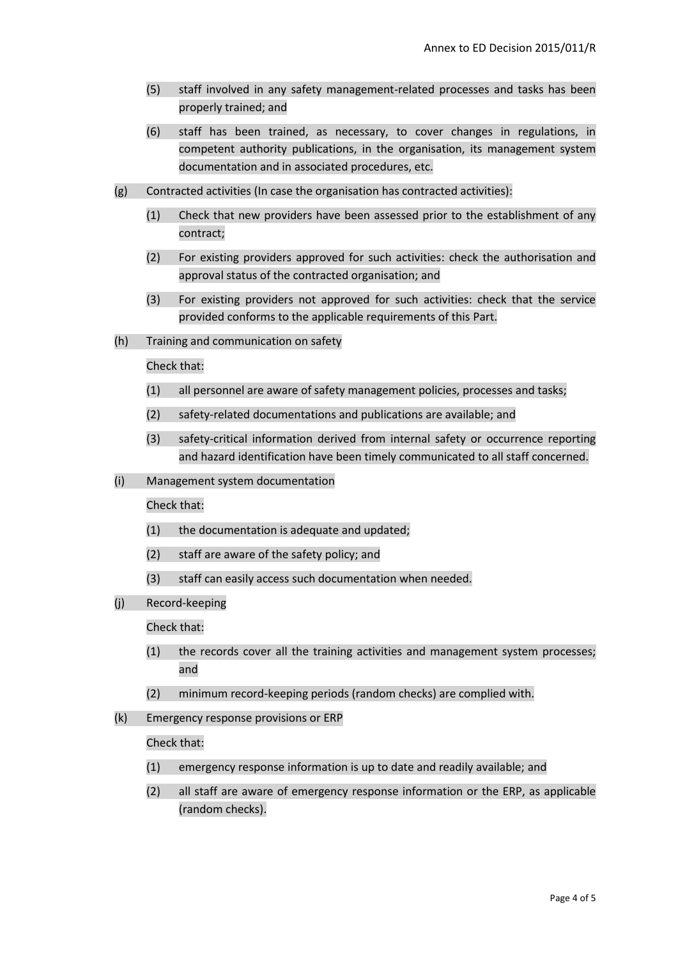- (5) staff involved in any safety management-related processes and tasks has been properly trained; and
- (6) staff has been trained, as necessary, to cover changes in regulations, in competent authority publications, in the organisation, its management system documentation and in associated procedures, etc.
- (g) Contracted activities (In case the organisation has contracted activities):
	- (1) Check that new providers have been assessed prior to the establishment of any contract;
	- (2) For existing providers approved for such activities: check the authorisation and approval status of the contracted organisation; and
	- (3) For existing providers not approved for such activities: check that the service provided conforms to the applicable requirements of this Part.
- (h) Training and communication on safety

Check that:

- (1) all personnel are aware of safety management policies, processes and tasks;
- (2) safety-related documentations and publications are available; and
- (3) safety-critical information derived from internal safety or occurrence reporting and hazard identification have been timely communicated to all staff concerned.
- (i) Management system documentation

#### Check that:

- (1) the documentation is adequate and updated;
- (2) staff are aware of the safety policy; and
- (3) staff can easily access such documentation when needed.
- (j) Record-keeping

Check that:

- (1) the records cover all the training activities and management system processes; and
- (2) minimum record-keeping periods (random checks) are complied with.
- (k) Emergency response provisions or ERP

Check that:

- (1) emergency response information is up to date and readily available; and
- (2) all staff are aware of emergency response information or the ERP, as applicable (random checks).